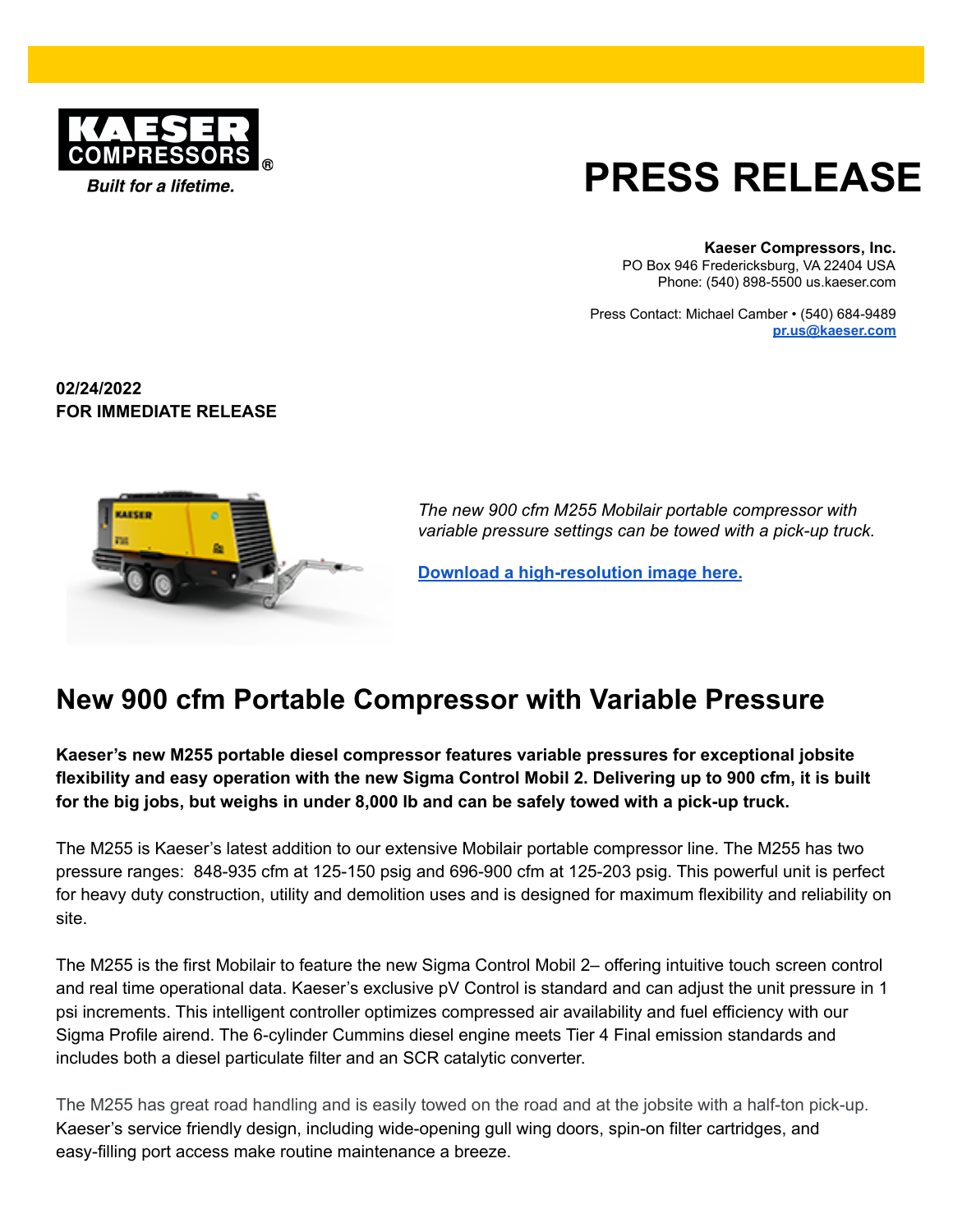

## **PRESS RELEASE**

**Kaeser Compressors, Inc.**

PO Box 946 Fredericksburg, VA 22404 USA Phone: (540) 898-5500 us.kaeser.com

Press Contact: Michael Camber • (540) 684-9489 **[pr.us@kaeser.com](mailto:pr.us@kaeser.com)**

**02/24/2022 FOR IMMEDIATE RELEASE**



*The new 900 cfm M255 Mobilair portable compressor with variable pressure settings can be towed with a pick-up truck.*

**Download a [high-resolution](https://us.kaeser.com/about-us/press/press-downloads/?download=360&utm_source=PR&utm_medium=PR) image here.**

## **New 900 cfm Portable Compressor with Variable Pressure**

**Kaeser's new M255 portable diesel compressor features variable pressures for exceptional jobsite** flexibility and easy operation with the new Sigma Control Mobil 2. Delivering up to 900 cfm, it is built for the big jobs, but weighs in under 8,000 lb and can be safely towed with a pick-up truck.

The M255 is Kaeser's latest addition to our extensive Mobilair portable compressor line. The M255 has two pressure ranges: 848-935 cfm at 125-150 psig and 696-900 cfm at 125-203 psig. This powerful unit is perfect for heavy duty construction, utility and demolition uses and is designed for maximum flexibility and reliability on site.

The M255 is the first Mobilair to feature the new Sigma Control Mobil 2– offering intuitive touch screen control and real time operational data. Kaeser's exclusive pV Control is standard and can adjust the unit pressure in 1 psi increments. This intelligent controller optimizes compressed air availability and fuel efficiency with our Sigma Profile airend. The 6-cylinder Cummins diesel engine meets Tier 4 Final emission standards and includes both a diesel particulate filter and an SCR catalytic converter.

The M255 has great road handling and is easily towed on the road and at the jobsite with a half-ton pick-up. Kaeser's service friendly design, including wide-opening gull wing doors, spin-on filter cartridges, and easy-filling port access make routine maintenance a breeze.